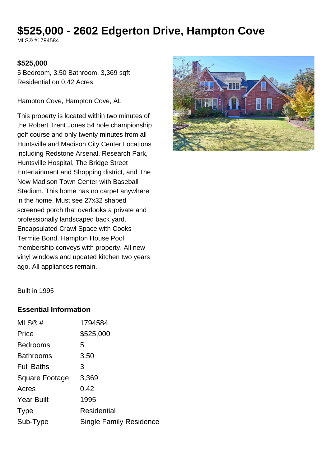## **\$525,000 - 2602 Edgerton Drive, Hampton Cove**

MLS® #1794584

## **\$525,000**

5 Bedroom, 3.50 Bathroom, 3,369 sqft Residential on 0.42 Acres

Hampton Cove, Hampton Cove, AL

This property is located within two minutes of the Robert Trent Jones 54 hole championship golf course and only twenty minutes from all Huntsville and Madison City Center Locations including Redstone Arsenal, Research Park, Huntsville Hospital, The Bridge Street Entertainment and Shopping district, and The New Madison Town Center with Baseball Stadium. This home has no carpet anywhere in the home. Must see 27x32 shaped screened porch that overlooks a private and professionally landscaped back yard. Encapsulated Crawl Space with Cooks Termite Bond. Hampton House Pool membership conveys with property. All new vinyl windows and updated kitchen two years ago. All appliances remain.



Built in 1995

## **Essential Information**

| MLS@#                 | 1794584                        |
|-----------------------|--------------------------------|
| Price                 | \$525,000                      |
| <b>Bedrooms</b>       | 5                              |
| <b>Bathrooms</b>      | 3.50                           |
| <b>Full Baths</b>     | З                              |
| <b>Square Footage</b> | 3,369                          |
| Acres                 | 0.42                           |
| <b>Year Built</b>     | 1995                           |
| <b>Type</b>           | <b>Residential</b>             |
| Sub-Type              | <b>Single Family Residence</b> |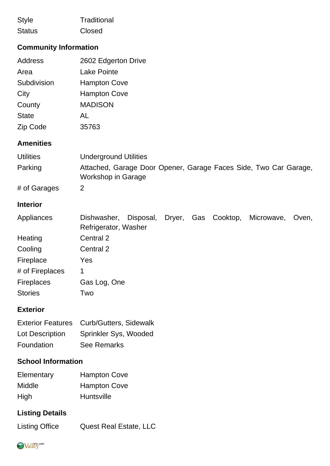| <b>Style</b>                                              | Traditional                                                                                   |  |
|-----------------------------------------------------------|-----------------------------------------------------------------------------------------------|--|
| <b>Status</b>                                             | Closed                                                                                        |  |
| <b>Community Information</b>                              |                                                                                               |  |
| <b>Address</b>                                            | 2602 Edgerton Drive                                                                           |  |
| Area                                                      | <b>Lake Pointe</b>                                                                            |  |
| Subdivision                                               | <b>Hampton Cove</b>                                                                           |  |
| City                                                      | <b>Hampton Cove</b>                                                                           |  |
| County                                                    | <b>MADISON</b>                                                                                |  |
| <b>State</b>                                              | <b>AL</b>                                                                                     |  |
| Zip Code                                                  | 35763                                                                                         |  |
| <b>Amenities</b>                                          |                                                                                               |  |
| <b>Utilities</b>                                          | <b>Underground Utilities</b>                                                                  |  |
| Parking                                                   | Attached, Garage Door Opener, Garage Faces Side, Two Car Garage,<br><b>Workshop in Garage</b> |  |
| # of Garages                                              | 2                                                                                             |  |
| <b>Interior</b>                                           |                                                                                               |  |
| Appliances                                                | Disposal, Dryer, Gas Cooktop,<br>Dishwasher,<br>Microwave,<br>Oven,<br>Refrigerator, Washer   |  |
| Heating                                                   | Central 2                                                                                     |  |
| Cooling                                                   | Central 2                                                                                     |  |
| Fireplace                                                 | Yes                                                                                           |  |
| # of Fireplaces                                           | 1                                                                                             |  |
| Fireplaces                                                | Gas Log, One                                                                                  |  |
| <b>Stories</b>                                            | Two                                                                                           |  |
| <b>Exterior</b>                                           |                                                                                               |  |
| <b>Exterior Features</b><br>Lot Description<br>Foundation | Curb/Gutters, Sidewalk<br>Sprinkler Sys, Wooded<br><b>See Remarks</b>                         |  |
| <b>School Information</b>                                 |                                                                                               |  |
| Elementary<br>Middle<br>High                              | <b>Hampton Cove</b><br><b>Hampton Cove</b><br>Huntsville                                      |  |
| <b>Listing Details</b>                                    |                                                                                               |  |
| <b>Listing Office</b>                                     | <b>Quest Real Estate, LLC</b>                                                                 |  |